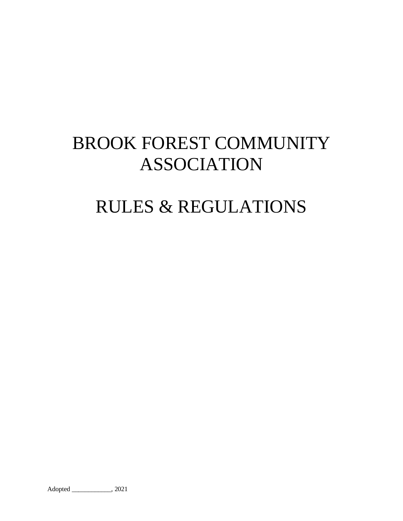# BROOK FOREST COMMUNITY ASSOCIATION

# RULES & REGULATIONS

Adopted \_\_\_\_\_\_\_\_\_\_\_\_, 2021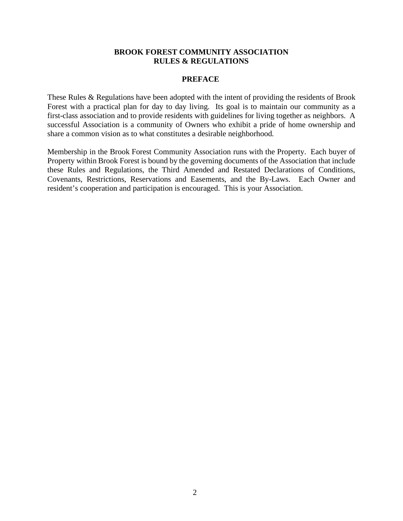#### **PREFACE**

These Rules & Regulations have been adopted with the intent of providing the residents of Brook Forest with a practical plan for day to day living. Its goal is to maintain our community as a first-class association and to provide residents with guidelines for living together as neighbors. A successful Association is a community of Owners who exhibit a pride of home ownership and share a common vision as to what constitutes a desirable neighborhood.

Membership in the Brook Forest Community Association runs with the Property. Each buyer of Property within Brook Forest is bound by the governing documents of the Association that include these Rules and Regulations, the Third Amended and Restated Declarations of Conditions, Covenants, Restrictions, Reservations and Easements, and the By-Laws. Each Owner and resident's cooperation and participation is encouraged. This is your Association.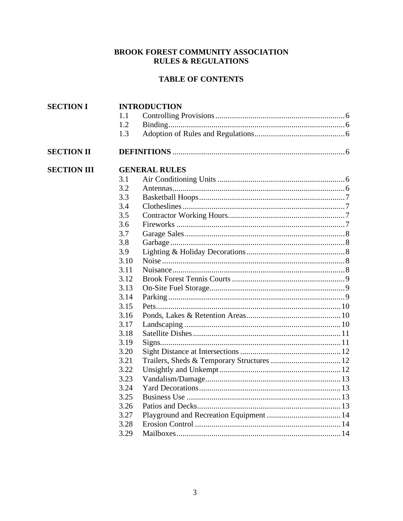# **TABLE OF CONTENTS**

| <b>SECTION I</b>   |      | <b>INTRODUCTION</b>  |  |
|--------------------|------|----------------------|--|
|                    | 1.1  |                      |  |
|                    | 1.2  |                      |  |
|                    | 1.3  |                      |  |
| <b>SECTION II</b>  |      |                      |  |
| <b>SECTION III</b> |      | <b>GENERAL RULES</b> |  |
|                    | 3.1  |                      |  |
|                    | 3.2  |                      |  |
|                    | 3.3  |                      |  |
|                    | 3.4  |                      |  |
|                    | 3.5  |                      |  |
|                    | 3.6  |                      |  |
|                    | 3.7  |                      |  |
|                    | 3.8  |                      |  |
|                    | 3.9  |                      |  |
|                    | 3.10 |                      |  |
|                    | 3.11 |                      |  |
|                    | 3.12 |                      |  |
|                    | 3.13 |                      |  |
|                    | 3.14 |                      |  |
|                    | 3.15 |                      |  |
|                    | 3.16 |                      |  |
|                    | 3.17 |                      |  |
|                    | 3.18 |                      |  |
|                    | 3.19 |                      |  |
|                    | 3.20 |                      |  |
|                    | 3.21 |                      |  |
|                    | 3.22 |                      |  |
|                    | 3.23 |                      |  |
|                    | 3.24 |                      |  |
|                    | 3.25 |                      |  |
|                    | 3.26 |                      |  |
|                    | 3.27 |                      |  |
|                    | 3.28 |                      |  |
|                    | 3.29 |                      |  |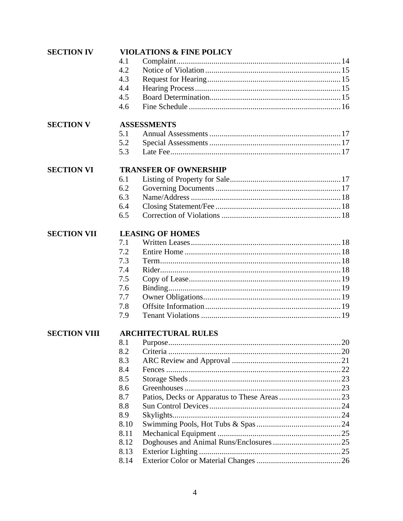| <b>SECTION IV</b>   |      | <b>VIOLATIONS &amp; FINE POLICY</b> |  |
|---------------------|------|-------------------------------------|--|
|                     | 4.1  |                                     |  |
|                     | 4.2  |                                     |  |
|                     | 4.3  |                                     |  |
|                     | 4.4  |                                     |  |
|                     | 4.5  |                                     |  |
|                     | 4.6  |                                     |  |
| <b>SECTION V</b>    |      | <b>ASSESSMENTS</b>                  |  |
|                     | 5.1  |                                     |  |
|                     | 5.2  |                                     |  |
|                     | 5.3  |                                     |  |
| <b>SECTION VI</b>   |      | <b>TRANSFER OF OWNERSHIP</b>        |  |
|                     | 6.1  |                                     |  |
|                     | 6.2  |                                     |  |
|                     | 6.3  |                                     |  |
|                     | 6.4  |                                     |  |
|                     | 6.5  |                                     |  |
| <b>SECTION VII</b>  |      | <b>LEASING OF HOMES</b>             |  |
|                     | 7.1  |                                     |  |
|                     | 7.2  |                                     |  |
|                     | 7.3  |                                     |  |
|                     | 7.4  |                                     |  |
|                     | 7.5  |                                     |  |
|                     | 7.6  |                                     |  |
|                     | 7.7  |                                     |  |
|                     | 7.8  |                                     |  |
|                     | 7.9  |                                     |  |
| <b>SECTION VIII</b> |      | <b>ARCHITECTURAL RULES</b>          |  |
|                     |      |                                     |  |
|                     | 8.2  |                                     |  |
|                     | 8.3  |                                     |  |
|                     | 8.4  |                                     |  |
|                     | 8.5  |                                     |  |
|                     | 8.6  |                                     |  |
|                     | 8.7  |                                     |  |
|                     | 8.8  |                                     |  |
|                     | 8.9  |                                     |  |
|                     | 8.10 |                                     |  |
|                     | 8.11 |                                     |  |
|                     | 8.12 |                                     |  |
|                     | 8.13 |                                     |  |
|                     | 8.14 |                                     |  |
|                     |      |                                     |  |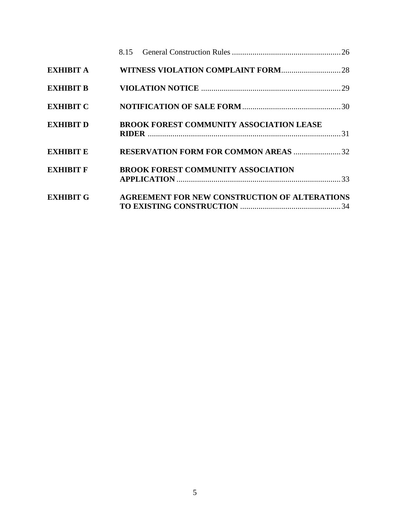|                  | 8.15                                                 |  |
|------------------|------------------------------------------------------|--|
| <b>EXHIBIT A</b> |                                                      |  |
| <b>EXHIBIT B</b> |                                                      |  |
| <b>EXHIBIT C</b> |                                                      |  |
| <b>EXHIBIT D</b> | <b>BROOK FOREST COMMUNITY ASSOCIATION LEASE</b>      |  |
| <b>EXHIBIT E</b> | <b>RESERVATION FORM FOR COMMON AREAS 32</b>          |  |
| <b>EXHIBIT F</b> | <b>BROOK FOREST COMMUNITY ASSOCIATION</b>            |  |
| <b>EXHIBIT G</b> | <b>AGREEMENT FOR NEW CONSTRUCTION OF ALTERATIONS</b> |  |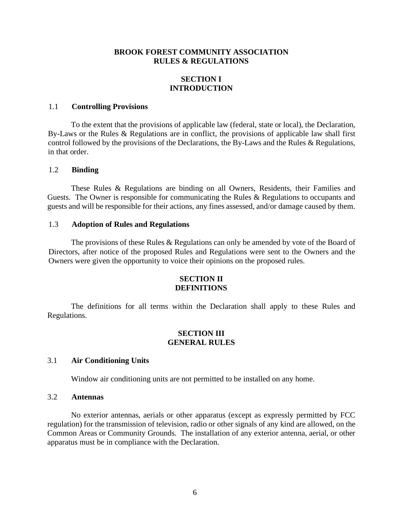# **SECTION I INTRODUCTION**

#### 1.1 **Controlling Provisions**

To the extent that the provisions of applicable law (federal, state or local), the Declaration, By-Laws or the Rules & Regulations are in conflict, the provisions of applicable law shall first control followed by the provisions of the Declarations, the By-Laws and the Rules & Regulations, in that order.

#### 1.2 **Binding**

These Rules & Regulations are binding on all Owners, Residents, their Families and Guests. The Owner is responsible for communicating the Rules & Regulations to occupants and guests and will be responsible for their actions, any fines assessed, and/or damage caused by them.

#### 1.3 **Adoption of Rules and Regulations**

The provisions of these Rules & Regulations can only be amended by vote of the Board of Directors, after notice of the proposed Rules and Regulations were sent to the Owners and the Owners were given the opportunity to voice their opinions on the proposed rules.

#### **SECTION II DEFINITIONS**

The definitions for all terms within the Declaration shall apply to these Rules and Regulations.

#### **SECTION III GENERAL RULES**

#### 3.1 **Air Conditioning Units**

Window air conditioning units are not permitted to be installed on any home.

#### 3.2 **Antennas**

No exterior antennas, aerials or other apparatus (except as expressly permitted by FCC regulation) for the transmission of television, radio or other signals of any kind are allowed, on the Common Areas or Community Grounds. The installation of any exterior antenna, aerial, or other apparatus must be in compliance with the Declaration.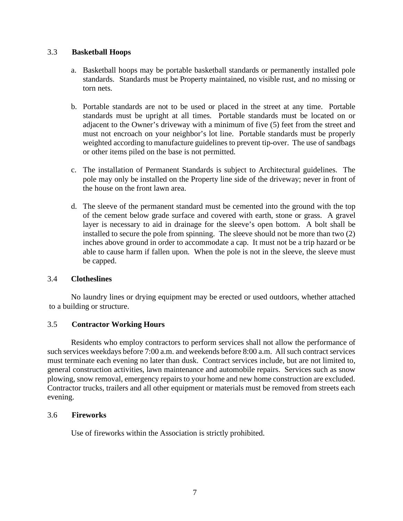# 3.3 **Basketball Hoops**

- a. Basketball hoops may be portable basketball standards or permanently installed pole standards. Standards must be Property maintained, no visible rust, and no missing or torn nets.
- b. Portable standards are not to be used or placed in the street at any time. Portable standards must be upright at all times. Portable standards must be located on or adjacent to the Owner's driveway with a minimum of five (5) feet from the street and must not encroach on your neighbor's lot line. Portable standards must be properly weighted according to manufacture guidelines to prevent tip-over. The use of sandbags or other items piled on the base is not permitted.
- c. The installation of Permanent Standards is subject to Architectural guidelines. The pole may only be installed on the Property line side of the driveway; never in front of the house on the front lawn area.
- d. The sleeve of the permanent standard must be cemented into the ground with the top of the cement below grade surface and covered with earth, stone or grass. A gravel layer is necessary to aid in drainage for the sleeve's open bottom. A bolt shall be installed to secure the pole from spinning. The sleeve should not be more than two (2) inches above ground in order to accommodate a cap. It must not be a trip hazard or be able to cause harm if fallen upon. When the pole is not in the sleeve, the sleeve must be capped.

#### 3.4 **Clotheslines**

No laundry lines or drying equipment may be erected or used outdoors, whether attached to a building or structure.

# 3.5 **Contractor Working Hours**

Residents who employ contractors to perform services shall not allow the performance of such services weekdays before 7:00 a.m. and weekends before 8:00 a.m. All such contract services must terminate each evening no later than dusk. Contract services include, but are not limited to, general construction activities, lawn maintenance and automobile repairs. Services such as snow plowing, snow removal, emergency repairs to your home and new home construction are excluded. Contractor trucks, trailers and all other equipment or materials must be removed from streets each evening.

#### 3.6 **Fireworks**

Use of fireworks within the Association is strictly prohibited.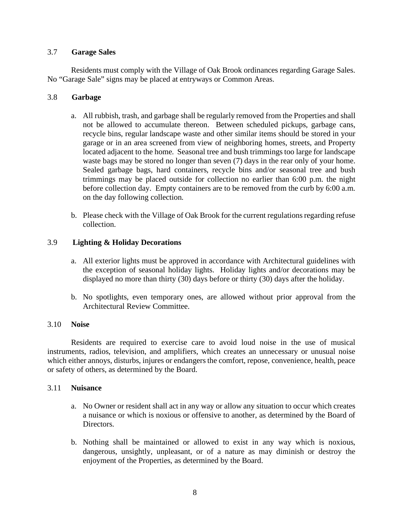#### 3.7 **Garage Sales**

Residents must comply with the Village of Oak Brook ordinances regarding Garage Sales. No "Garage Sale" signs may be placed at entryways or Common Areas.

# 3.8 **Garbage**

- a. All rubbish, trash, and garbage shall be regularly removed from the Properties and shall not be allowed to accumulate thereon. Between scheduled pickups, garbage cans, recycle bins, regular landscape waste and other similar items should be stored in your garage or in an area screened from view of neighboring homes, streets, and Property located adjacent to the home. Seasonal tree and bush trimmings too large for landscape waste bags may be stored no longer than seven (7) days in the rear only of your home. Sealed garbage bags, hard containers, recycle bins and/or seasonal tree and bush trimmings may be placed outside for collection no earlier than 6:00 p.m. the night before collection day. Empty containers are to be removed from the curb by 6:00 a.m. on the day following collection.
- b. Please check with the Village of Oak Brook for the current regulations regarding refuse collection.

# 3.9 **Lighting & Holiday Decorations**

- a. All exterior lights must be approved in accordance with Architectural guidelines with the exception of seasonal holiday lights. Holiday lights and/or decorations may be displayed no more than thirty (30) days before or thirty (30) days after the holiday.
- b. No spotlights, even temporary ones, are allowed without prior approval from the Architectural Review Committee.

#### 3.10 **Noise**

Residents are required to exercise care to avoid loud noise in the use of musical instruments, radios, television, and amplifiers, which creates an unnecessary or unusual noise which either annoys, disturbs, injures or endangers the comfort, repose, convenience, health, peace or safety of others, as determined by the Board.

#### 3.11 **Nuisance**

- a. No Owner or resident shall act in any way or allow any situation to occur which creates a nuisance or which is noxious or offensive to another, as determined by the Board of Directors.
- b. Nothing shall be maintained or allowed to exist in any way which is noxious, dangerous, unsightly, unpleasant, or of a nature as may diminish or destroy the enjoyment of the Properties, as determined by the Board.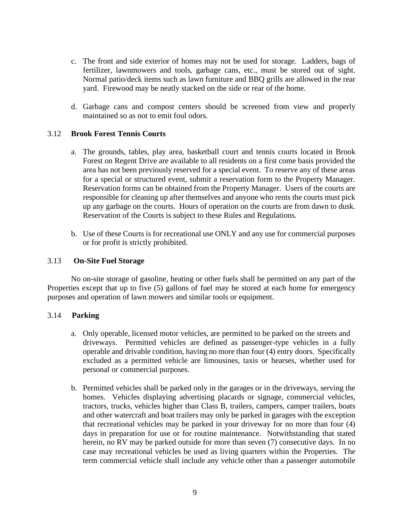- c. The front and side exterior of homes may not be used for storage. Ladders, bags of fertilizer, lawnmowers and tools, garbage cans, etc., must be stored out of sight. Normal patio/deck items such as lawn furniture and BBQ grills are allowed in the rear yard. Firewood may be neatly stacked on the side or rear of the home.
- d. Garbage cans and compost centers should be screened from view and properly maintained so as not to emit foul odors.

# 3.12 **Brook Forest Tennis Courts**

- a. The grounds, tables, play area, basketball court and tennis courts located in Brook Forest on Regent Drive are available to all residents on a first come basis provided the area has not been previously reserved for a special event. To reserve any of these areas for a special or structured event, submit a reservation form to the Property Manager. Reservation forms can be obtained from the Property Manager. Users of the courts are responsible for cleaning up after themselves and anyone who rents the courts must pick up any garbage on the courts. Hours of operation on the courts are from dawn to dusk. Reservation of the Courts is subject to these Rules and Regulations.
- b. Use of these Courts is for recreational use ONLY and any use for commercial purposes or for profit is strictly prohibited.

#### 3.13 **On-Site Fuel Storage**

No on-site storage of gasoline, heating or other fuels shall be permitted on any part of the Properties except that up to five (5) gallons of fuel may be stored at each home for emergency purposes and operation of lawn mowers and similar tools or equipment.

#### 3.14 **Parking**

- a. Only operable, licensed motor vehicles, are permitted to be parked on the streets and driveways. Permitted vehicles are defined as passenger-type vehicles in a fully operable and drivable condition, having no more than four (4) entry doors. Specifically excluded as a permitted vehicle are limousines, taxis or hearses, whether used for personal or commercial purposes.
- b. Permitted vehicles shall be parked only in the garages or in the driveways, serving the homes. Vehicles displaying advertising placards or signage, commercial vehicles, tractors, trucks, vehicles higher than Class B, trailers, campers, camper trailers, boats and other watercraft and boat trailers may only be parked in garages with the exception that recreational vehicles may be parked in your driveway for no more than four (4) days in preparation for use or for routine maintenance. Notwithstanding that stated herein, no RV may be parked outside for more than seven (7) consecutive days. In no case may recreational vehicles be used as living quarters within the Properties. The term commercial vehicle shall include any vehicle other than a passenger automobile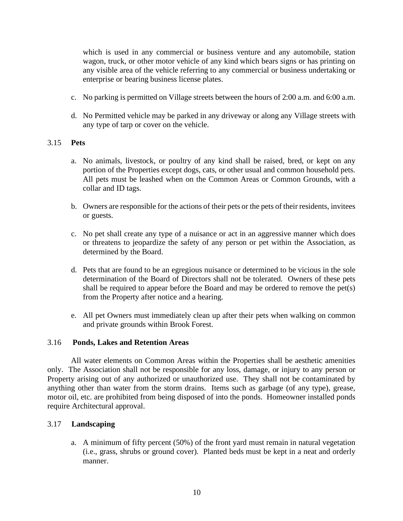which is used in any commercial or business venture and any automobile, station wagon, truck, or other motor vehicle of any kind which bears signs or has printing on any visible area of the vehicle referring to any commercial or business undertaking or enterprise or bearing business license plates.

- c. No parking is permitted on Village streets between the hours of 2:00 a.m. and 6:00 a.m.
- d. No Permitted vehicle may be parked in any driveway or along any Village streets with any type of tarp or cover on the vehicle.

# 3.15 **Pets**

- a. No animals, livestock, or poultry of any kind shall be raised, bred, or kept on any portion of the Properties except dogs, cats, or other usual and common household pets. All pets must be leashed when on the Common Areas or Common Grounds, with a collar and ID tags.
- b. Owners are responsible for the actions of their pets or the pets of their residents, invitees or guests.
- c. No pet shall create any type of a nuisance or act in an aggressive manner which does or threatens to jeopardize the safety of any person or pet within the Association, as determined by the Board.
- d. Pets that are found to be an egregious nuisance or determined to be vicious in the sole determination of the Board of Directors shall not be tolerated. Owners of these pets shall be required to appear before the Board and may be ordered to remove the pet(s) from the Property after notice and a hearing.
- e. All pet Owners must immediately clean up after their pets when walking on common and private grounds within Brook Forest.

#### 3.16 **Ponds, Lakes and Retention Areas**

All water elements on Common Areas within the Properties shall be aesthetic amenities only. The Association shall not be responsible for any loss, damage, or injury to any person or Property arising out of any authorized or unauthorized use. They shall not be contaminated by anything other than water from the storm drains. Items such as garbage (of any type), grease, motor oil, etc. are prohibited from being disposed of into the ponds. Homeowner installed ponds require Architectural approval.

#### 3.17 **Landscaping**

a. A minimum of fifty percent (50%) of the front yard must remain in natural vegetation (i.e., grass, shrubs or ground cover). Planted beds must be kept in a neat and orderly manner.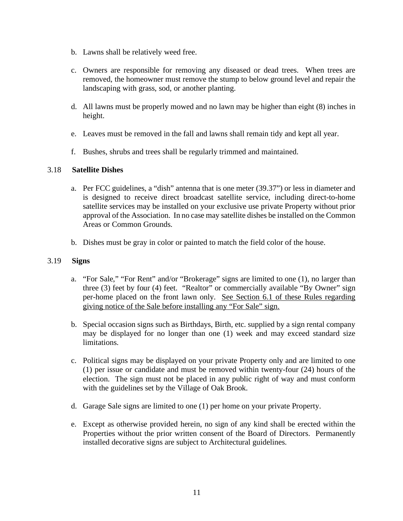- b. Lawns shall be relatively weed free.
- c. Owners are responsible for removing any diseased or dead trees. When trees are removed, the homeowner must remove the stump to below ground level and repair the landscaping with grass, sod, or another planting.
- d. All lawns must be properly mowed and no lawn may be higher than eight (8) inches in height.
- e. Leaves must be removed in the fall and lawns shall remain tidy and kept all year.
- f. Bushes, shrubs and trees shall be regularly trimmed and maintained.

# 3.18 **Satellite Dishes**

- a. Per FCC guidelines, a "dish" antenna that is one meter (39.37") or less in diameter and is designed to receive direct broadcast satellite service, including direct-to-home satellite services may be installed on your exclusive use private Property without prior approval of the Association. In no case may satellite dishes be installed on the Common Areas or Common Grounds.
- b. Dishes must be gray in color or painted to match the field color of the house.

#### 3.19 **Signs**

- a. "For Sale," "For Rent" and/or "Brokerage" signs are limited to one (1), no larger than three (3) feet by four (4) feet. "Realtor" or commercially available "By Owner" sign per-home placed on the front lawn only. See Section 6.1 of these Rules regarding giving notice of the Sale before installing any "For Sale" sign.
- b. Special occasion signs such as Birthdays, Birth, etc. supplied by a sign rental company may be displayed for no longer than one (1) week and may exceed standard size limitations.
- c. Political signs may be displayed on your private Property only and are limited to one (1) per issue or candidate and must be removed within twenty-four (24) hours of the election. The sign must not be placed in any public right of way and must conform with the guidelines set by the Village of Oak Brook.
- d. Garage Sale signs are limited to one (1) per home on your private Property.
- e. Except as otherwise provided herein, no sign of any kind shall be erected within the Properties without the prior written consent of the Board of Directors. Permanently installed decorative signs are subject to Architectural guidelines.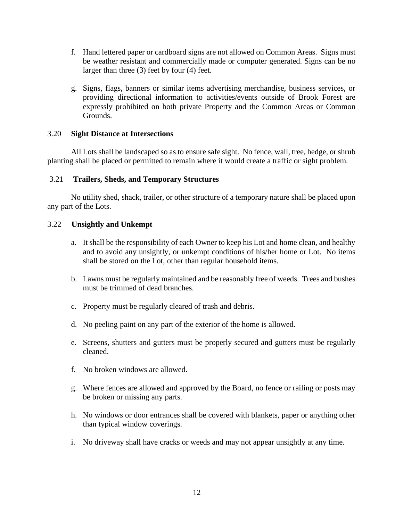- f. Hand lettered paper or cardboard signs are not allowed on Common Areas. Signs must be weather resistant and commercially made or computer generated. Signs can be no larger than three (3) feet by four (4) feet.
- g. Signs, flags, banners or similar items advertising merchandise, business services, or providing directional information to activities/events outside of Brook Forest are expressly prohibited on both private Property and the Common Areas or Common Grounds.

#### 3.20 **Sight Distance at Intersections**

All Lots shall be landscaped so as to ensure safe sight. No fence, wall, tree, hedge, or shrub planting shall be placed or permitted to remain where it would create a traffic or sight problem.

#### 3.21 **Trailers, Sheds, and Temporary Structures**

No utility shed, shack, trailer, or other structure of a temporary nature shall be placed upon any part of the Lots.

#### 3.22 **Unsightly and Unkempt**

- a. It shall be the responsibility of each Owner to keep his Lot and home clean, and healthy and to avoid any unsightly, or unkempt conditions of his/her home or Lot. No items shall be stored on the Lot, other than regular household items.
- b. Lawns must be regularly maintained and be reasonably free of weeds. Trees and bushes must be trimmed of dead branches.
- c. Property must be regularly cleared of trash and debris.
- d. No peeling paint on any part of the exterior of the home is allowed.
- e. Screens, shutters and gutters must be properly secured and gutters must be regularly cleaned.
- f. No broken windows are allowed.
- g. Where fences are allowed and approved by the Board, no fence or railing or posts may be broken or missing any parts.
- h. No windows or door entrances shall be covered with blankets, paper or anything other than typical window coverings.
- i. No driveway shall have cracks or weeds and may not appear unsightly at any time.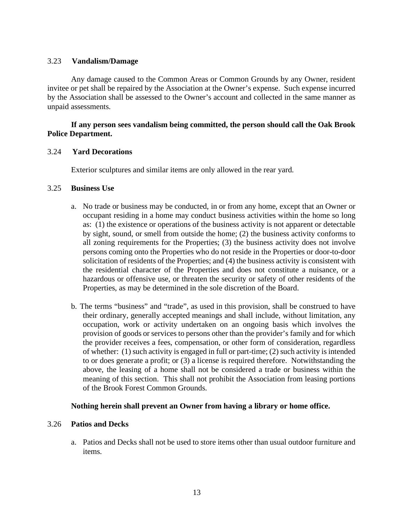#### 3.23 **Vandalism/Damage**

Any damage caused to the Common Areas or Common Grounds by any Owner, resident invitee or pet shall be repaired by the Association at the Owner's expense. Such expense incurred by the Association shall be assessed to the Owner's account and collected in the same manner as unpaid assessments.

### **If any person sees vandalism being committed, the person should call the Oak Brook Police Department.**

#### 3.24 **Yard Decorations**

Exterior sculptures and similar items are only allowed in the rear yard.

#### 3.25 **Business Use**

- a. No trade or business may be conducted, in or from any home, except that an Owner or occupant residing in a home may conduct business activities within the home so long as: (1) the existence or operations of the business activity is not apparent or detectable by sight, sound, or smell from outside the home; (2) the business activity conforms to all zoning requirements for the Properties; (3) the business activity does not involve persons coming onto the Properties who do not reside in the Properties or door-to-door solicitation of residents of the Properties; and (4) the business activity is consistent with the residential character of the Properties and does not constitute a nuisance, or a hazardous or offensive use, or threaten the security or safety of other residents of the Properties, as may be determined in the sole discretion of the Board.
- b. The terms "business" and "trade", as used in this provision, shall be construed to have their ordinary, generally accepted meanings and shall include, without limitation, any occupation, work or activity undertaken on an ongoing basis which involves the provision of goods or services to persons other than the provider's family and for which the provider receives a fees, compensation, or other form of consideration, regardless of whether: (1) such activity is engaged in full or part-time; (2) such activity is intended to or does generate a profit; or (3) a license is required therefore. Notwithstanding the above, the leasing of a home shall not be considered a trade or business within the meaning of this section. This shall not prohibit the Association from leasing portions of the Brook Forest Common Grounds.

#### **Nothing herein shall prevent an Owner from having a library or home office.**

#### 3.26 **Patios and Decks**

a. Patios and Decks shall not be used to store items other than usual outdoor furniture and items.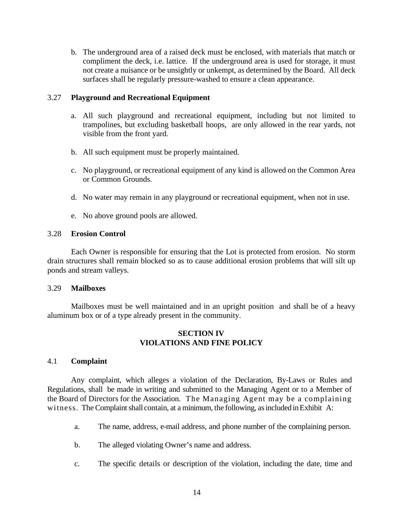b. The underground area of a raised deck must be enclosed, with materials that match or compliment the deck, i.e. lattice. If the underground area is used for storage, it must not create a nuisance or be unsightly or unkempt, as determined by the Board. All deck surfaces shall be regularly pressure-washed to ensure a clean appearance.

#### 3.27 **Playground and Recreational Equipment**

- a. All such playground and recreational equipment, including but not limited to trampolines, but excluding basketball hoops, are only allowed in the rear yards, not visible from the front yard.
- b. All such equipment must be properly maintained.
- c. No playground, or recreational equipment of any kind is allowed on the Common Area or Common Grounds.
- d. No water may remain in any playground or recreational equipment, when not in use.
- e. No above ground pools are allowed.

#### 3.28 **Erosion Control**

Each Owner is responsible for ensuring that the Lot is protected from erosion. No storm drain structures shall remain blocked so as to cause additional erosion problems that will silt up ponds and stream valleys.

#### 3.29 **Mailboxes**

Mailboxes must be well maintained and in an upright position and shall be of a heavy aluminum box or of a type already present in the community.

# **SECTION IV VIOLATIONS AND FINE POLICY**

#### 4.1 **Complaint**

Any complaint, which alleges a violation of the Declaration, By-Laws or Rules and Regulations, shall be made in writing and submitted to the Managing Agent or to a Member of the Board of Directors for the Association. The Managing Agent may be a complaining witness. The Complaint shall contain, at a minimum, the following, as included in Exhibit A:

- a. The name, address, e-mail address, and phone number of the complaining person.
- b. The alleged violating Owner's name and address.
- c. The specific details or description of the violation, including the date, time and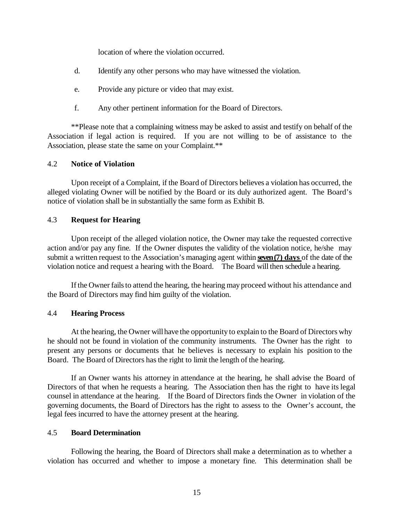location of where the violation occurred.

- d. Identify any other persons who may have witnessed the violation.
- e. Provide any picture or video that may exist.
- f. Any other pertinent information for the Board of Directors.

\*\*Please note that a complaining witness may be asked to assist and testify on behalf of the Association if legal action is required. If you are not willing to be of assistance to the Association, please state the same on your Complaint.\*\*

#### 4.2 **Notice of Violation**

Upon receipt of a Complaint, if the Board of Directors believes a violation has occurred, the alleged violating Owner will be notified by the Board or its duly authorized agent. The Board's notice of violation shall be in substantially the same form as Exhibit B.

#### 4.3 **Request for Hearing**

Upon receipt of the alleged violation notice, the Owner may take the requested corrective action and/or pay any fine. If the Owner disputes the validity of the violation notice, he/she may submit a written request to the Association's managing agent within **seven(7) days** of the date of the violation notice and request a hearing with the Board. The Board will then schedule a hearing.

If the Owner fails to attend the hearing, the hearing may proceed without his attendance and the Board of Directors may find him guilty of the violation.

#### 4.4 **Hearing Process**

At the hearing, the Owner willhave the opportunity to explain to the Board of Directors why he should not be found in violation of the community instruments. The Owner has the right to present any persons or documents that he believes is necessary to explain his position to the Board. The Board of Directors hasthe right to limit the length of the hearing.

If an Owner wants his attorney in attendance at the hearing, he shall advise the Board of Directors of that when he requests a hearing. The Association then has the right to have its legal counsel in attendance at the hearing. If the Board of Directors finds the Owner in violation of the governing documents, the Board of Directors has the right to assess to the Owner's account, the legal fees incurred to have the attorney present at the hearing.

#### 4.5 **Board Determination**

Following the hearing, the Board of Directors shall make a determination as to whether a violation has occurred and whether to impose a monetary fine. This determination shall be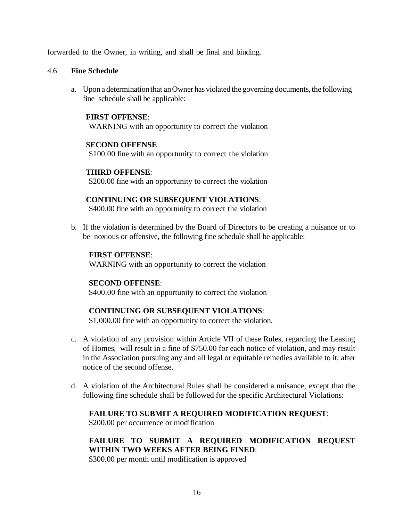forwarded to the Owner, in writing, and shall be final and binding.

#### 4.6 **Fine Schedule**

a. Upon a determination that anOwner has violated the governing documents, the following fine schedule shall be applicable:

#### **FIRST OFFENSE**:

WARNING with an opportunity to correct the violation

#### **SECOND OFFENSE**:

\$100.00 fine with an opportunity to correct the violation

#### **THIRD OFFENSE**:

\$200.00 fine with an opportunity to correct the violation

#### **CONTINUING OR SUBSEQUENT VIOLATIONS**:

\$400.00 fine with an opportunity to correct the violation

b. If the violation is determined by the Board of Directors to be creating a nuisance or to be noxious or offensive, the following fine schedule shall be applicable:

#### **FIRST OFFENSE**:

WARNING with an opportunity to correct the violation

#### **SECOND OFFENSE**:

\$400.00 fine with an opportunity to correct the violation

#### **CONTINUING OR SUBSEQUENT VIOLATIONS**:

\$1,000.00 fine with an opportunity to correct the violation.

- c. A violation of any provision within Article VII of these Rules, regarding the Leasing of Homes, will result in a fine of \$750.00 for each notice of violation, and may result in the Association pursuing any and all legal or equitable remedies available to it, after notice of the second offense.
- d. A violation of the Architectural Rules shall be considered a nuisance, except that the following fine schedule shall be followed for the specific Architectural Violations:

### **FAILURE TO SUBMIT A REQUIRED MODIFICATION REQUEST**:

\$200.00 per occurrence or modification

# **FAILURE TO SUBMIT A REQUIRED MODIFICATION REQUEST WITHIN TWO WEEKS AFTER BEING FINED**:

\$300.00 per month until modification is approved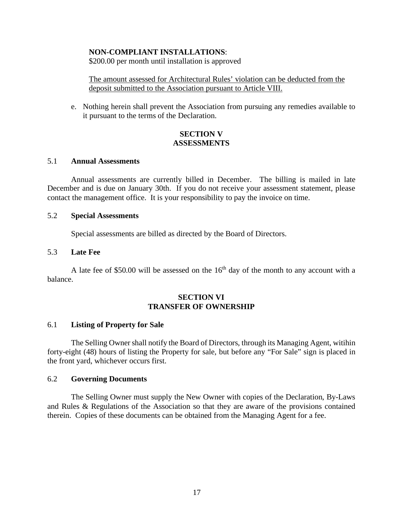#### **NON-COMPLIANT INSTALLATIONS**:

\$200.00 per month until installation is approved

The amount assessed for Architectural Rules' violation can be deducted from the deposit submitted to the Association pursuant to Article VIII.

e. Nothing herein shall prevent the Association from pursuing any remedies available to it pursuant to the terms of the Declaration.

#### **SECTION V ASSESSMENTS**

#### 5.1 **Annual Assessments**

Annual assessments are currently billed in December. The billing is mailed in late December and is due on January 30th. If you do not receive your assessment statement, please contact the management office. It is your responsibility to pay the invoice on time.

#### 5.2 **Special Assessments**

Special assessments are billed as directed by the Board of Directors.

#### 5.3 **Late Fee**

A late fee of \$50.00 will be assessed on the  $16<sup>th</sup>$  day of the month to any account with a balance.

#### **SECTION VI TRANSFER OF OWNERSHIP**

#### 6.1 **Listing of Property for Sale**

The Selling Owner shall notify the Board of Directors, through its Managing Agent, witihin forty-eight (48) hours of listing the Property for sale, but before any "For Sale" sign is placed in the front yard, whichever occurs first.

#### 6.2 **Governing Documents**

The Selling Owner must supply the New Owner with copies of the Declaration, By-Laws and Rules & Regulations of the Association so that they are aware of the provisions contained therein. Copies of these documents can be obtained from the Managing Agent for a fee.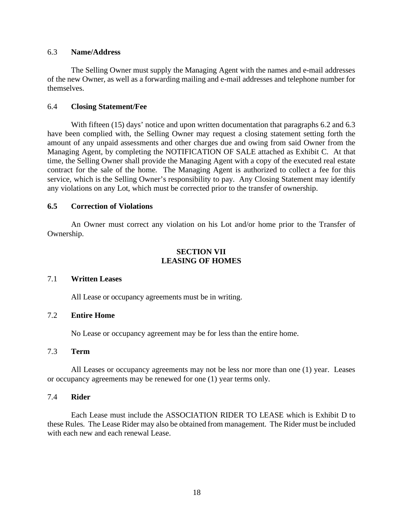#### 6.3 **Name/Address**

The Selling Owner must supply the Managing Agent with the names and e-mail addresses of the new Owner, as well as a forwarding mailing and e-mail addresses and telephone number for themselves.

#### 6.4 **Closing Statement/Fee**

With fifteen (15) days' notice and upon written documentation that paragraphs 6.2 and 6.3 have been complied with, the Selling Owner may request a closing statement setting forth the amount of any unpaid assessments and other charges due and owing from said Owner from the Managing Agent, by completing the NOTIFICATION OF SALE attached as Exhibit C. At that time, the Selling Owner shall provide the Managing Agent with a copy of the executed real estate contract for the sale of the home. The Managing Agent is authorized to collect a fee for this service, which is the Selling Owner's responsibility to pay. Any Closing Statement may identify any violations on any Lot, which must be corrected prior to the transfer of ownership.

#### **6.5 Correction of Violations**

An Owner must correct any violation on his Lot and/or home prior to the Transfer of Ownership.

# **SECTION VII LEASING OF HOMES**

#### 7.1 **Written Leases**

All Lease or occupancy agreements must be in writing.

#### 7.2 **Entire Home**

No Lease or occupancy agreement may be for less than the entire home.

# 7.3 **Term**

All Leases or occupancy agreements may not be less nor more than one (1) year. Leases or occupancy agreements may be renewed for one (1) year terms only.

#### 7.4 **Rider**

Each Lease must include the ASSOCIATION RIDER TO LEASE which is Exhibit D to these Rules. The Lease Rider may also be obtained from management. The Rider must be included with each new and each renewal Lease.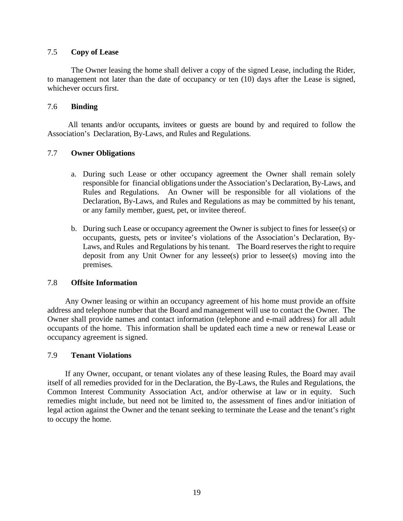# 7.5 **Copy of Lease**

The Owner leasing the home shall deliver a copy of the signed Lease, including the Rider, to management not later than the date of occupancy or ten (10) days after the Lease is signed, whichever occurs first.

# 7.6 **Binding**

All tenants and/or occupants, invitees or guests are bound by and required to follow the Association's Declaration, By-Laws, and Rules and Regulations.

# 7.7 **Owner Obligations**

- a. During such Lease or other occupancy agreement the Owner shall remain solely responsible for financial obligations under the Association's Declaration, By-Laws, and Rules and Regulations. An Owner will be responsible for all violations of the Declaration, By-Laws, and Rules and Regulations as may be committed by his tenant, or any family member, guest, pet, or invitee thereof.
- b. During such Lease or occupancy agreement the Owner is subject to fines for lessee(s) or occupants, guests, pets or invitee's violations of the Association's Declaration, By-Laws, and Rules and Regulations by histenant. The Board reserves the right to require deposit from any Unit Owner for any lessee(s) prior to lessee(s) moving into the premises.

#### 7.8 **Offsite Information**

Any Owner leasing or within an occupancy agreement of his home must provide an offsite address and telephone number that the Board and management will use to contact the Owner. The Owner shall provide names and contact information (telephone and e-mail address) for all adult occupants of the home. This information shall be updated each time a new or renewal Lease or occupancy agreement is signed.

#### 7.9 **Tenant Violations**

If any Owner, occupant, or tenant violates any of these leasing Rules, the Board may avail itself of all remedies provided for in the Declaration, the By-Laws, the Rules and Regulations, the Common Interest Community Association Act, and/or otherwise at law or in equity. Such remedies might include, but need not be limited to, the assessment of fines and/or initiation of legal action against the Owner and the tenant seeking to terminate the Lease and the tenant's right to occupy the home.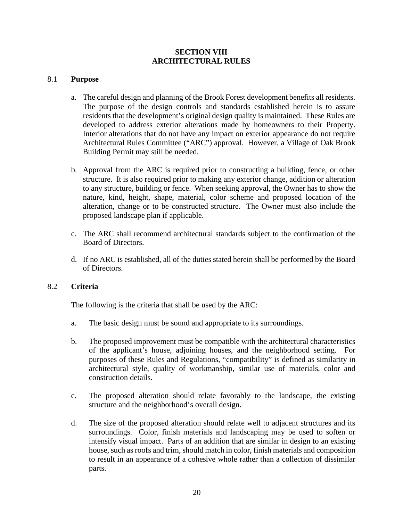# **SECTION VIII ARCHITECTURAL RULES**

#### 8.1 **Purpose**

- a. The careful design and planning of the Brook Forest development benefits all residents. The purpose of the design controls and standards established herein is to assure residents that the development's original design quality is maintained. These Rules are developed to address exterior alterations made by homeowners to their Property. Interior alterations that do not have any impact on exterior appearance do not require Architectural Rules Committee ("ARC") approval. However, a Village of Oak Brook Building Permit may still be needed.
- b. Approval from the ARC is required prior to constructing a building, fence, or other structure. It is also required prior to making any exterior change, addition or alteration to any structure, building or fence. When seeking approval, the Owner has to show the nature, kind, height, shape, material, color scheme and proposed location of the alteration, change or to be constructed structure. The Owner must also include the proposed landscape plan if applicable.
- c. The ARC shall recommend architectural standards subject to the confirmation of the Board of Directors.
- d. If no ARC is established, all of the duties stated herein shall be performed by the Board of Directors.

#### 8.2 **Criteria**

The following is the criteria that shall be used by the ARC:

- a. The basic design must be sound and appropriate to its surroundings.
- b. The proposed improvement must be compatible with the architectural characteristics of the applicant's house, adjoining houses, and the neighborhood setting. For purposes of these Rules and Regulations, "compatibility" is defined as similarity in architectural style, quality of workmanship, similar use of materials, color and construction details.
- c. The proposed alteration should relate favorably to the landscape, the existing structure and the neighborhood's overall design.
- d. The size of the proposed alteration should relate well to adjacent structures and its surroundings. Color, finish materials and landscaping may be used to soften or intensify visual impact. Parts of an addition that are similar in design to an existing house, such as roofs and trim, should match in color, finish materials and composition to result in an appearance of a cohesive whole rather than a collection of dissimilar parts.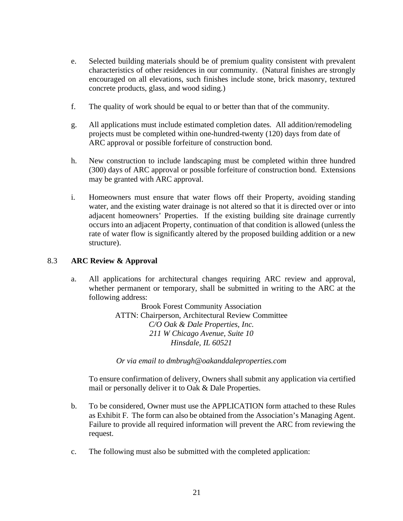- e. Selected building materials should be of premium quality consistent with prevalent characteristics of other residences in our community. (Natural finishes are strongly encouraged on all elevations, such finishes include stone, brick masonry, textured concrete products, glass, and wood siding.)
- f. The quality of work should be equal to or better than that of the community.
- g. All applications must include estimated completion dates. All addition/remodeling projects must be completed within one-hundred-twenty (120) days from date of ARC approval or possible forfeiture of construction bond.
- h. New construction to include landscaping must be completed within three hundred (300) days of ARC approval or possible forfeiture of construction bond. Extensions may be granted with ARC approval.
- i. Homeowners must ensure that water flows off their Property, avoiding standing water, and the existing water drainage is not altered so that it is directed over or into adjacent homeowners' Properties. If the existing building site drainage currently occurs into an adjacent Property, continuation of that condition is allowed (unless the rate of water flow is significantly altered by the proposed building addition or a new structure).

# 8.3 **ARC Review & Approval**

a. All applications for architectural changes requiring ARC review and approval, whether permanent or temporary, shall be submitted in writing to the ARC at the following address:

> Brook Forest Community Association ATTN: Chairperson, Architectural Review Committee *C/O Oak & Dale Properties, Inc. 211 W Chicago Avenue, Suite 10 Hinsdale, IL 60521*

*Or via email to dmbrugh@oakanddaleproperties.com*

To ensure confirmation of delivery, Owners shall submit any application via certified mail or personally deliver it to Oak & Dale Properties.

- b. To be considered, Owner must use the APPLICATION form attached to these Rules as Exhibit F. The form can also be obtained from the Association's Managing Agent. Failure to provide all required information will prevent the ARC from reviewing the request.
- c. The following must also be submitted with the completed application: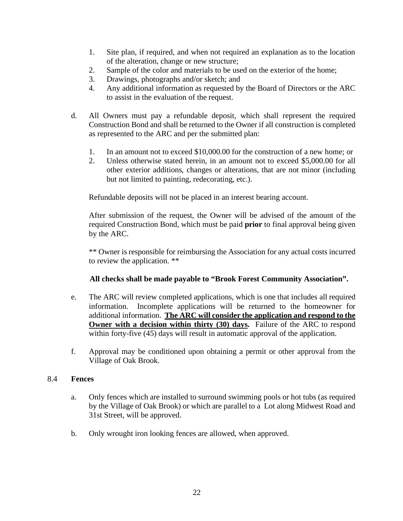- 1. Site plan, if required, and when not required an explanation as to the location of the alteration, change or new structure;
- 2. Sample of the color and materials to be used on the exterior of the home;
- 3. Drawings, photographs and/or sketch; and
- 4. Any additional information as requested by the Board of Directors or the ARC to assist in the evaluation of the request.
- d. All Owners must pay a refundable deposit, which shall represent the required Construction Bond and shall be returned to the Owner if all construction is completed as represented to the ARC and per the submitted plan:
	- 1. In an amount not to exceed \$10,000.00 for the construction of a new home; or
	- 2. Unless otherwise stated herein, in an amount not to exceed \$5,000.00 for all other exterior additions, changes or alterations, that are not minor (including but not limited to painting, redecorating, etc.).

Refundable deposits will not be placed in an interest bearing account.

After submission of the request, the Owner will be advised of the amount of the required Construction Bond, which must be paid **prior** to final approval being given by the ARC.

\*\* Owner is responsible for reimbursing the Association for any actual costs incurred to review the application. \*\*

#### **All checks shall be made payable to "Brook Forest Community Association".**

- e. The ARC will review completed applications, which is one that includes all required information. Incomplete applications will be returned to the homeowner for additional information. **The ARC will consider the application and respond to the Owner with a decision within thirty (30) days.** Failure of the ARC to respond within forty-five (45) days will result in automatic approval of the application.
- f. Approval may be conditioned upon obtaining a permit or other approval from the Village of Oak Brook.

#### 8.4 **Fences**

- a. Only fences which are installed to surround swimming pools or hot tubs (as required by the Village of Oak Brook) or which are parallel to a Lot along Midwest Road and 31st Street, will be approved.
- b. Only wrought iron looking fences are allowed, when approved.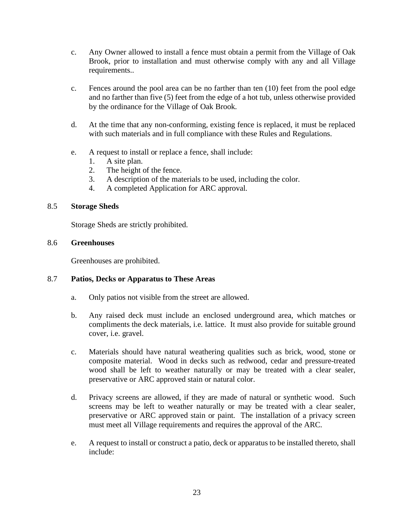- c. Any Owner allowed to install a fence must obtain a permit from the Village of Oak Brook, prior to installation and must otherwise comply with any and all Village requirements..
- c. Fences around the pool area can be no farther than ten (10) feet from the pool edge and no farther than five (5) feet from the edge of a hot tub, unless otherwise provided by the ordinance for the Village of Oak Brook.
- d. At the time that any non-conforming, existing fence is replaced, it must be replaced with such materials and in full compliance with these Rules and Regulations.
- e. A request to install or replace a fence, shall include:
	- 1. A site plan.
	- 2. The height of the fence.
	- 3. A description of the materials to be used, including the color.
	- 4. A completed Application for ARC approval.

#### 8.5 **Storage Sheds**

Storage Sheds are strictly prohibited.

#### 8.6 **Greenhouses**

Greenhouses are prohibited.

#### 8.7 **Patios, Decks or Apparatus to These Areas**

- a. Only patios not visible from the street are allowed.
- b. Any raised deck must include an enclosed underground area, which matches or compliments the deck materials, i.e. lattice. It must also provide for suitable ground cover, i.e. gravel.
- c. Materials should have natural weathering qualities such as brick, wood, stone or composite material. Wood in decks such as redwood, cedar and pressure-treated wood shall be left to weather naturally or may be treated with a clear sealer, preservative or ARC approved stain or natural color.
- d. Privacy screens are allowed, if they are made of natural or synthetic wood. Such screens may be left to weather naturally or may be treated with a clear sealer, preservative or ARC approved stain or paint. The installation of a privacy screen must meet all Village requirements and requires the approval of the ARC.
- e. A request to install or construct a patio, deck or apparatus to be installed thereto, shall include: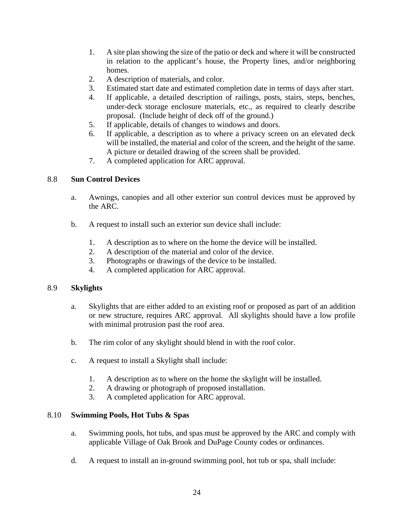- 1. A site plan showing the size of the patio or deck and where it will be constructed in relation to the applicant's house, the Property lines, and/or neighboring homes.
- 2. A description of materials, and color.
- 3. Estimated start date and estimated completion date in terms of days after start.
- 4. If applicable, a detailed description of railings, posts, stairs, steps, benches, under-deck storage enclosure materials, etc., as required to clearly describe proposal. (Include height of deck off of the ground.)
- 5. If applicable, details of changes to windows and doors.
- 6. If applicable, a description as to where a privacy screen on an elevated deck will be installed, the material and color of the screen, and the height of the same. A picture or detailed drawing of the screen shall be provided.
- 7. A completed application for ARC approval.

# 8.8 **Sun Control Devices**

- a. Awnings, canopies and all other exterior sun control devices must be approved by the ARC.
- b. A request to install such an exterior sun device shall include:
	- 1. A description as to where on the home the device will be installed.
	- 2. A description of the material and color of the device.
	- 3. Photographs or drawings of the device to be installed.
	- 4. A completed application for ARC approval.

#### 8.9 **Skylights**

- a. Skylights that are either added to an existing roof or proposed as part of an addition or new structure, requires ARC approval. All skylights should have a low profile with minimal protrusion past the roof area.
- b. The rim color of any skylight should blend in with the roof color.
- c. A request to install a Skylight shall include:
	- 1. A description as to where on the home the skylight will be installed.
	- 2. A drawing or photograph of proposed installation.
	- 3. A completed application for ARC approval.

#### 8.10 **Swimming Pools, Hot Tubs & Spas**

- a. Swimming pools, hot tubs, and spas must be approved by the ARC and comply with applicable Village of Oak Brook and DuPage County codes or ordinances.
- d. A request to install an in-ground swimming pool, hot tub or spa, shall include: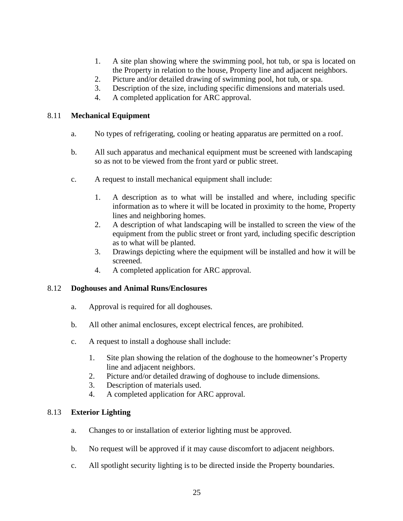- 1. A site plan showing where the swimming pool, hot tub, or spa is located on the Property in relation to the house, Property line and adjacent neighbors.
- 2. Picture and/or detailed drawing of swimming pool, hot tub, or spa.
- 3. Description of the size, including specific dimensions and materials used.
- 4. A completed application for ARC approval.

# 8.11 **Mechanical Equipment**

- a. No types of refrigerating, cooling or heating apparatus are permitted on a roof.
- b. All such apparatus and mechanical equipment must be screened with landscaping so as not to be viewed from the front yard or public street.
- c. A request to install mechanical equipment shall include:
	- 1. A description as to what will be installed and where, including specific information as to where it will be located in proximity to the home, Property lines and neighboring homes.
	- 2. A description of what landscaping will be installed to screen the view of the equipment from the public street or front yard, including specific description as to what will be planted.
	- 3. Drawings depicting where the equipment will be installed and how it will be screened.
	- 4. A completed application for ARC approval.

#### 8.12 **Doghouses and Animal Runs/Enclosures**

- a. Approval is required for all doghouses.
- b. All other animal enclosures, except electrical fences, are prohibited.
- c. A request to install a doghouse shall include:
	- 1. Site plan showing the relation of the doghouse to the homeowner's Property line and adjacent neighbors.
	- 2. Picture and/or detailed drawing of doghouse to include dimensions.
	- 3. Description of materials used.
	- 4. A completed application for ARC approval.

# 8.13 **Exterior Lighting**

- a. Changes to or installation of exterior lighting must be approved.
- b. No request will be approved if it may cause discomfort to adjacent neighbors.
- c. All spotlight security lighting is to be directed inside the Property boundaries.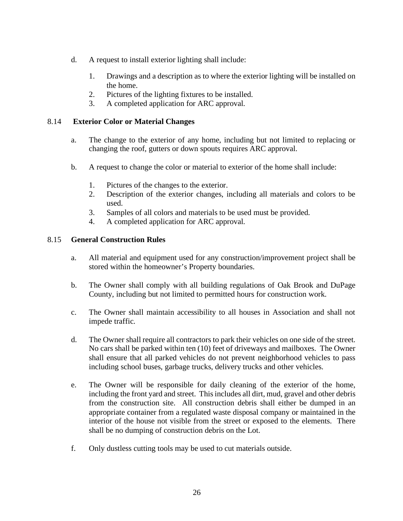- d. A request to install exterior lighting shall include:
	- 1. Drawings and a description as to where the exterior lighting will be installed on the home.
	- 2. Pictures of the lighting fixtures to be installed.
	- 3. A completed application for ARC approval.

# 8.14 **Exterior Color or Material Changes**

- a. The change to the exterior of any home, including but not limited to replacing or changing the roof, gutters or down spouts requires ARC approval.
- b. A request to change the color or material to exterior of the home shall include:
	- 1. Pictures of the changes to the exterior.
	- 2. Description of the exterior changes, including all materials and colors to be used.
	- 3. Samples of all colors and materials to be used must be provided.
	- 4. A completed application for ARC approval.

#### 8.15 **General Construction Rules**

- a. All material and equipment used for any construction/improvement project shall be stored within the homeowner's Property boundaries.
- b. The Owner shall comply with all building regulations of Oak Brook and DuPage County, including but not limited to permitted hours for construction work.
- c. The Owner shall maintain accessibility to all houses in Association and shall not impede traffic.
- d. The Owner shall require all contractors to park their vehicles on one side of the street. No cars shall be parked within ten (10) feet of driveways and mailboxes. The Owner shall ensure that all parked vehicles do not prevent neighborhood vehicles to pass including school buses, garbage trucks, delivery trucks and other vehicles.
- e. The Owner will be responsible for daily cleaning of the exterior of the home, including the front yard and street. This includes all dirt, mud, gravel and other debris from the construction site. All construction debris shall either be dumped in an appropriate container from a regulated waste disposal company or maintained in the interior of the house not visible from the street or exposed to the elements. There shall be no dumping of construction debris on the Lot.
- f. Only dustless cutting tools may be used to cut materials outside.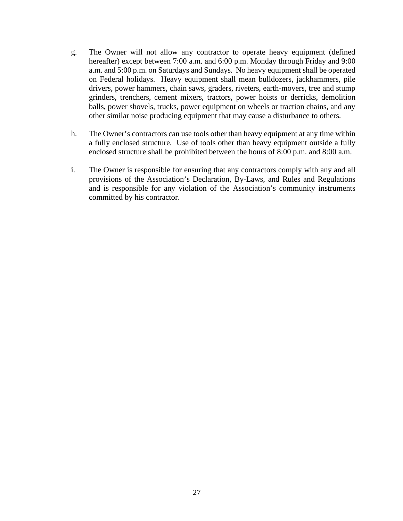- g. The Owner will not allow any contractor to operate heavy equipment (defined hereafter) except between 7:00 a.m. and 6:00 p.m. Monday through Friday and 9:00 a.m. and 5:00 p.m. on Saturdays and Sundays. No heavy equipment shall be operated on Federal holidays. Heavy equipment shall mean bulldozers, jackhammers, pile drivers, power hammers, chain saws, graders, riveters, earth-movers, tree and stump grinders, trenchers, cement mixers, tractors, power hoists or derricks, demolition balls, power shovels, trucks, power equipment on wheels or traction chains, and any other similar noise producing equipment that may cause a disturbance to others.
- h. The Owner's contractors can use tools other than heavy equipment at any time within a fully enclosed structure. Use of tools other than heavy equipment outside a fully enclosed structure shall be prohibited between the hours of 8:00 p.m. and 8:00 a.m.
- i. The Owner is responsible for ensuring that any contractors comply with any and all provisions of the Association's Declaration, By-Laws, and Rules and Regulations and is responsible for any violation of the Association's community instruments committed by his contractor.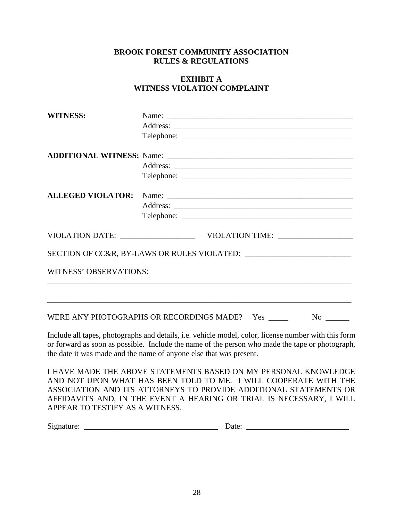# **EXHIBIT A WITNESS VIOLATION COMPLAINT**

| <b>WITNESS:</b>        | Name:                                                    |
|------------------------|----------------------------------------------------------|
|                        |                                                          |
|                        |                                                          |
|                        |                                                          |
|                        |                                                          |
|                        |                                                          |
|                        |                                                          |
|                        |                                                          |
|                        |                                                          |
|                        |                                                          |
|                        |                                                          |
| WITNESS' OBSERVATIONS: |                                                          |
|                        |                                                          |
|                        | WERE ANY PHOTOGRAPHS OR RECORDINGS MADE? Yes _____<br>No |

Include all tapes, photographs and details, i.e. vehicle model, color, license number with this form or forward as soon as possible. Include the name of the person who made the tape or photograph, the date it was made and the name of anyone else that was present.

I HAVE MADE THE ABOVE STATEMENTS BASED ON MY PERSONAL KNOWLEDGE AND NOT UPON WHAT HAS BEEN TOLD TO ME. I WILL COOPERATE WITH THE ASSOCIATION AND ITS ATTORNEYS TO PROVIDE ADDITIONAL STATEMENTS OR AFFIDAVITS AND, IN THE EVENT A HEARING OR TRIAL IS NECESSARY, I WILL APPEAR TO TESTIFY AS A WITNESS.

Signature: \_\_\_\_\_\_\_\_\_\_\_\_\_\_\_\_\_\_\_\_\_\_\_\_\_\_\_\_\_\_\_\_\_\_ Date: \_\_\_\_\_\_\_\_\_\_\_\_\_\_\_\_\_\_\_\_\_\_\_\_\_\_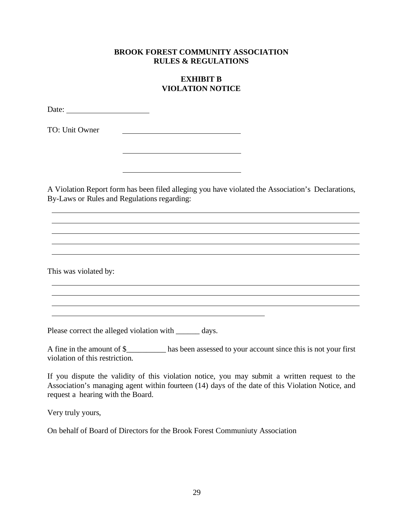# **EXHIBIT B VIOLATION NOTICE**

Date: and the contract of the contract of the contract of the contract of the contract of the contract of the contract of the contract of the contract of the contract of the contract of the contract of the contract of the

TO: Unit Owner

A Violation Report form has been filed alleging you have violated the Association's Declarations, By-Laws or Rules and Regulations regarding:

This was violated by:

Please correct the alleged violation with \_\_\_\_\_\_\_ days.

A fine in the amount of \$\_\_\_\_\_\_\_\_\_\_ has been assessed to your account since this is not your first violation of this restriction.

If you dispute the validity of this violation notice, you may submit a written request to the Association's managing agent within fourteen (14) days of the date of this Violation Notice, and request a hearing with the Board.

Very truly yours,

On behalf of Board of Directors for the Brook Forest Communiuty Association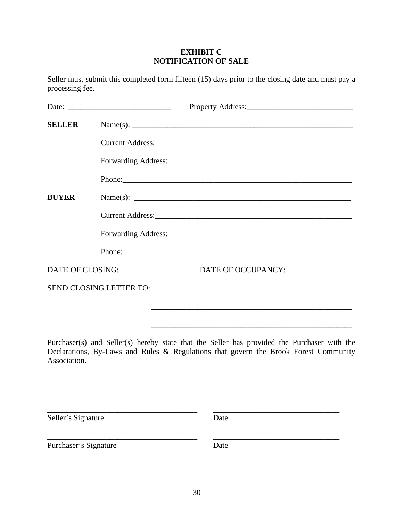# **EXHIBIT C NOTIFICATION OF SALE**

Seller must submit this completed form fifteen (15) days prior to the closing date and must pay a processing fee.

| <b>SELLER</b> | Name(s): $\qquad \qquad$ |
|---------------|--------------------------|
|               |                          |
|               |                          |
|               | Phone:                   |
| <b>BUYER</b>  |                          |
|               |                          |
|               |                          |
|               |                          |
|               |                          |
|               |                          |
|               |                          |
|               |                          |

Purchaser(s) and Seller(s) hereby state that the Seller has provided the Purchaser with the Declarations, By-Laws and Rules & Regulations that govern the Brook Forest Community Association.

\_\_\_\_\_\_\_\_\_\_\_\_\_\_\_\_\_\_\_\_\_\_\_\_\_\_\_\_\_\_\_\_\_\_\_\_\_\_ \_\_\_\_\_\_\_\_\_\_\_\_\_\_\_\_\_\_\_\_\_\_\_\_\_\_\_\_\_\_\_\_

\_\_\_\_\_\_\_\_\_\_\_\_\_\_\_\_\_\_\_\_\_\_\_\_\_\_\_\_\_\_\_\_\_\_\_\_\_\_ \_\_\_\_\_\_\_\_\_\_\_\_\_\_\_\_\_\_\_\_\_\_\_\_\_\_\_\_\_\_\_\_

Seller's Signature Date

Purchaser's Signature Date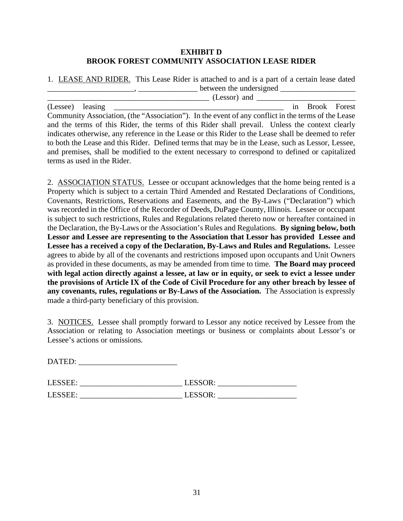# **EXHIBIT D BROOK FOREST COMMUNITY ASSOCIATION LEASE RIDER**

1. LEASE AND RIDER. This Lease Rider is attached to and is a part of a certain lease dated  $\frac{1}{2}$  between the undersigned  $\frac{1}{2}$ 

 $\frac{1}{\sqrt{1-\frac{1}{2}}}\left( \text{Lessor}\right)$  and  $\frac{1}{\sqrt{1-\frac{1}{2}}}\left( \text{Lessor}\right)$ (Lessee) leasing \_\_\_\_\_\_\_\_\_\_\_\_\_\_\_\_\_\_\_\_\_\_\_\_\_\_\_\_\_\_\_\_\_\_\_\_\_\_\_\_\_\_\_ in Brook Forest Community Association, (the "Association"). In the event of any conflict in the terms of the Lease and the terms of this Rider, the terms of this Rider shall prevail. Unless the context clearly indicates otherwise, any reference in the Lease or this Rider to the Lease shall be deemed to refer to both the Lease and this Rider. Defined terms that may be in the Lease, such as Lessor, Lessee, and premises, shall be modified to the extent necessary to correspond to defined or capitalized terms as used in the Rider.

2. ASSOCIATION STATUS. Lessee or occupant acknowledges that the home being rented is a Property which is subject to a certain Third Amended and Restated Declarations of Conditions, Covenants, Restrictions, Reservations and Easements, and the By-Laws ("Declaration") which was recorded in the Office of the Recorder of Deeds, DuPage County, Illinois. Lessee or occupant is subject to such restrictions, Rules and Regulations related thereto now or hereafter contained in the Declaration, the By-Laws or the Association's Rules and Regulations. **By signing below, both Lessor and Lessee are representing to the Association that Lessor has provided Lessee and Lessee has a received a copy of the Declaration, By-Laws and Rules and Regulations.** Lessee agrees to abide by all of the covenants and restrictions imposed upon occupants and Unit Owners as provided in these documents, as may be amended from time to time. **The Board may proceed with legal action directly against a lessee, at law or in equity, or seek to evict a lessee under the provisions of Article IX of the Code of Civil Procedure for any other breach by lessee of any covenants, rules, regulations or By-Laws of the Association.** The Association is expressly made a third-party beneficiary of this provision.

3. NOTICES. Lessee shall promptly forward to Lessor any notice received by Lessee from the Association or relating to Association meetings or business or complaints about Lessor's or Lessee's actions or omissions.

| <b>DATED:</b> |
|---------------|
|---------------|

| LESSEE: | ESSOR:<br>LLUV'              |
|---------|------------------------------|
| LESSEE: | FSSOR<br>viv.<br><b>LLVV</b> |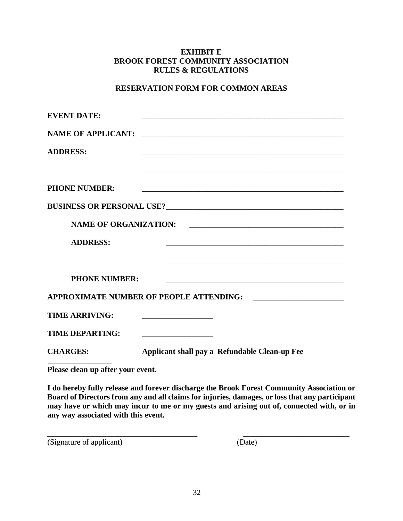# **RESERVATION FORM FOR COMMON AREAS**

| <u> 1980 - Johann Barn, fransk politik (f. 1980)</u>                                                          |
|---------------------------------------------------------------------------------------------------------------|
|                                                                                                               |
| <b>NAME OF ORGANIZATION:</b>                                                                                  |
| <u> 1989 - Johann Stoff, amerikansk politiker (d. 1989)</u>                                                   |
|                                                                                                               |
|                                                                                                               |
| APPROXIMATE NUMBER OF PEOPLE ATTENDING:<br><u> 1980 - Jan Barbara, manazarta da kasas da shekara 1980 - A</u> |
|                                                                                                               |
| <u> 1989 - Johann Barn, mars et al. (b. 1989)</u>                                                             |
| Applicant shall pay a Refundable Clean-up Fee                                                                 |
|                                                                                                               |

**Please clean up after your event.**

**I do hereby fully release and forever discharge the Brook Forest Community Association or Board of Directors from any and all claims for injuries, damages, or loss that any participant may have or which may incur to me or my guests and arising out of, connected with, or in any way associated with this event.** 

\_\_\_\_\_\_\_\_\_\_\_\_\_\_\_\_\_\_\_\_\_\_\_\_\_\_\_\_\_\_\_\_\_\_\_\_\_\_ \_\_\_\_\_\_\_\_\_\_\_\_\_\_\_\_\_\_\_\_\_\_\_\_\_\_\_

(Signature of applicant) (Date)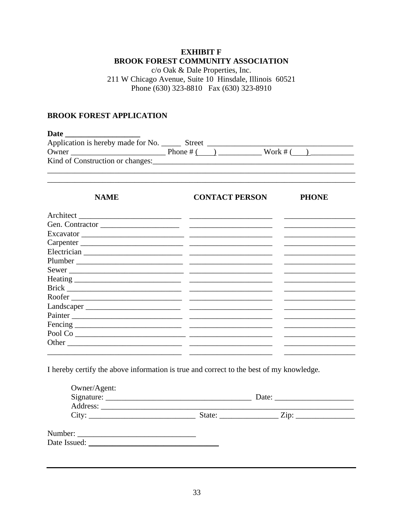# **EXHIBIT F BROOK FOREST COMMUNITY ASSOCIATION**

c/o Oak & Dale Properties, Inc. 211 W Chicago Avenue, Suite 10 Hinsdale, Illinois 60521 Phone (630) 323-8810 Fax (630) 323-8910

#### **BROOK FOREST APPLICATION**

**Date** Application is hereby made for No. Street  $\frac{\text{Street}}{\text{Phone # } (\text{)}$  Work # ( ) 

| <b>NAME</b> | <b>CONTACT PERSON</b>                                                             | <b>PHONE</b> |
|-------------|-----------------------------------------------------------------------------------|--------------|
|             |                                                                                   |              |
|             | Gen. Contractor                                                                   |              |
|             | Excavator                                                                         |              |
|             | Carpenter                                                                         |              |
|             |                                                                                   |              |
|             |                                                                                   |              |
|             | Sewer                                                                             |              |
|             |                                                                                   |              |
|             |                                                                                   |              |
|             | Roofer                                                                            |              |
|             |                                                                                   |              |
|             | Painter                                                                           |              |
|             |                                                                                   |              |
|             | $\begin{tabular}{c} Pool Co & \textbf{\textcolor{red}{\textbf{0}}.}\end{tabular}$ |              |
|             |                                                                                   |              |
|             |                                                                                   |              |

I hereby certify the above information is true and correct to the best of my knowledge.

| Owner/Agent:<br>Address: The Community of the Community of the Community of the Community of the Community of the Community of the Community of the Community of the Community of the Community of the Community of the Community of the Commu | Date:             |  |
|------------------------------------------------------------------------------------------------------------------------------------------------------------------------------------------------------------------------------------------------|-------------------|--|
| City:                                                                                                                                                                                                                                          | $\overline{Zip:}$ |  |
| Date Issued:                                                                                                                                                                                                                                   |                   |  |
|                                                                                                                                                                                                                                                |                   |  |